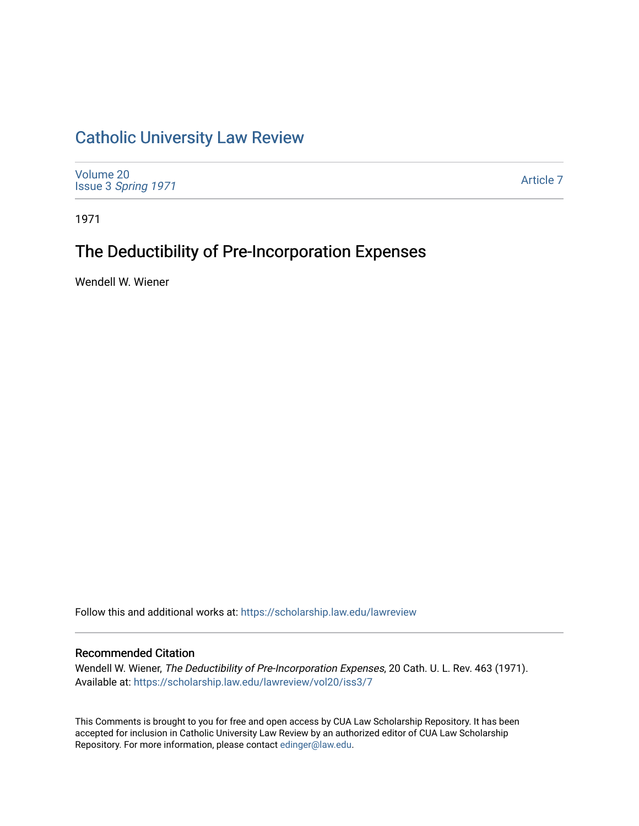# [Catholic University Law Review](https://scholarship.law.edu/lawreview)

[Volume 20](https://scholarship.law.edu/lawreview/vol20) Issue 3 [Spring 1971](https://scholarship.law.edu/lawreview/vol20/iss3) 

[Article 7](https://scholarship.law.edu/lawreview/vol20/iss3/7) 

1971

# The Deductibility of Pre-Incorporation Expenses

Wendell W. Wiener

Follow this and additional works at: [https://scholarship.law.edu/lawreview](https://scholarship.law.edu/lawreview?utm_source=scholarship.law.edu%2Flawreview%2Fvol20%2Fiss3%2F7&utm_medium=PDF&utm_campaign=PDFCoverPages)

# Recommended Citation

Wendell W. Wiener, The Deductibility of Pre-Incorporation Expenses, 20 Cath. U. L. Rev. 463 (1971). Available at: [https://scholarship.law.edu/lawreview/vol20/iss3/7](https://scholarship.law.edu/lawreview/vol20/iss3/7?utm_source=scholarship.law.edu%2Flawreview%2Fvol20%2Fiss3%2F7&utm_medium=PDF&utm_campaign=PDFCoverPages)

This Comments is brought to you for free and open access by CUA Law Scholarship Repository. It has been accepted for inclusion in Catholic University Law Review by an authorized editor of CUA Law Scholarship Repository. For more information, please contact [edinger@law.edu.](mailto:edinger@law.edu)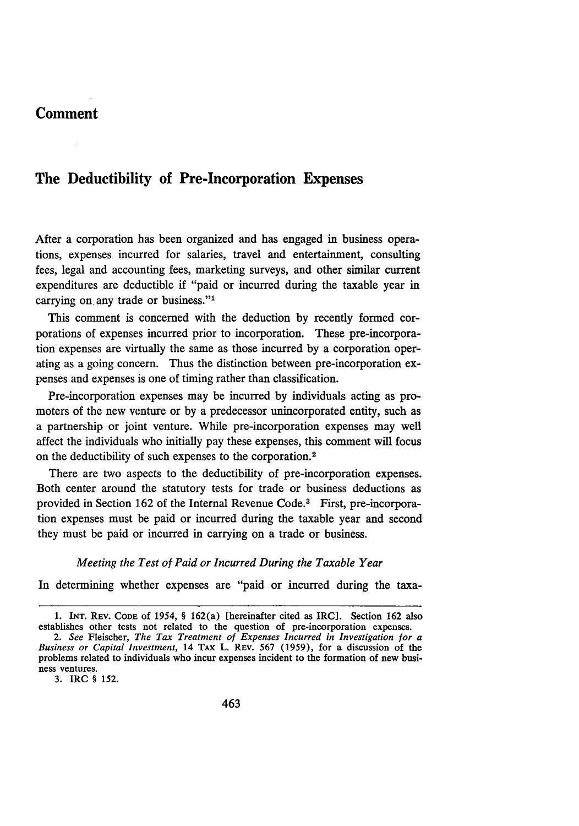# **Comment**

# **The Deductibility of Pre-Incorporation Expenses**

After a corporation has been organized and has engaged in business operations, expenses incurred for salaries, travel and entertainment, consulting fees, legal and accounting fees, marketing surveys, and other similar current expenditures are deductible if "paid or incurred during the taxable year in carrying on. any trade or business."'

This comment is concerned with the deduction by recently formed corporations of expenses incurred prior to incorporation. These pre-incorporation expenses are virtually the same as those incurred by a corporation operating as a going concern. Thus the distinction between pre-incorporation expenses and expenses is one of timing rather than classification.

Pre-incorporation expenses may be incurred by individuals acting as promoters of the new venture or by a predecessor unincorporated entity, such as a partnership or joint venture. While pre-incorporation expenses may well affect the individuals who initially pay these expenses, this comment will focus on the deductibility of such expenses to the corporation. <sup>2</sup>

There are two aspects to the deductibility of pre-incorporation expenses. Both center around the statutory tests for trade or business deductions as provided in Section 162 of the Internal Revenue Code.<sup>3</sup> First, pre-incorporation expenses must be paid or incurred during the taxable year and second they must be paid or incurred in carrying on a trade or business.

## *Meeting the Test of Paid or Incurred During the Taxable Year*

In determining whether expenses are "paid or incurred during the taxa-

3. IRC § 152.

<sup>1.</sup> **INT.** REV. CODE of 1954, § 162(a) [hereinafter cited as IRO]. Section 162 also establishes other tests not related to the question of pre-incorporation expenses.

*<sup>2.</sup> See* Fleischer, *The Tax Treatment of Expenses Incurred in Investigation* for a *Business or Capital Investment,* 14 TAX L. REv. 567 (1959), for a discussion of the problems related to individuals who incur expenses incident to the formation of new business ventures.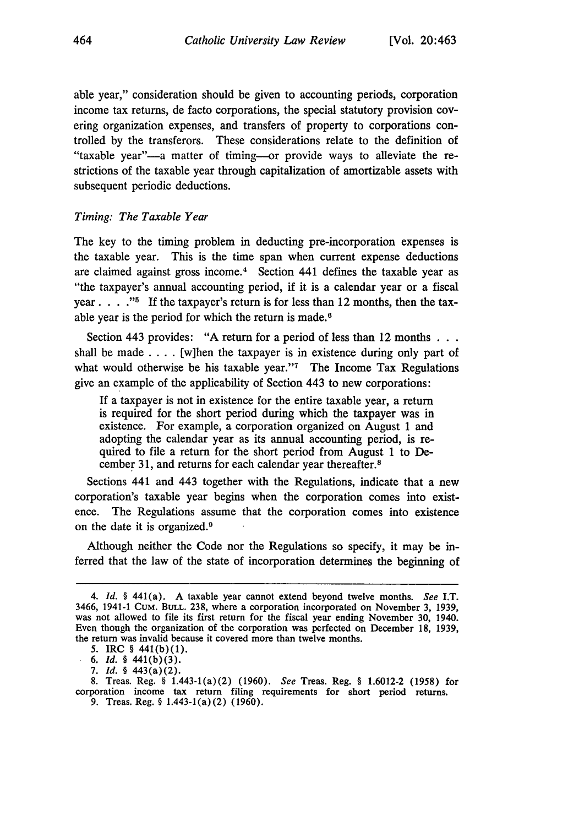able year," consideration should be given to accounting periods, corporation income tax returns, de facto corporations, the special statutory provision covering organization expenses, and transfers of property to corporations controlled by the transferors. These considerations relate to the definition of "taxable year"-a matter of timing--or provide ways to alleviate the restrictions of the taxable year through capitalization of amortizable assets with subsequent periodic deductions.

## *Timing: The Taxable Year*

464

The key to the timing problem in deducting pre-incorporation expenses is the taxable year. This is the time span when current expense deductions are claimed against gross income. $4$  Section 441 defines the taxable year as "the taxpayer's annual accounting period, if it is a calendar year or a fiscal year.  $\ldots$ <sup>35</sup> If the taxpayer's return is for less than 12 months, then the taxable year is the period for which the return is made.<sup>6</sup>

Section 443 provides: "A return for a period of less than 12 months **...** shall be made  $\dots$ . [w]hen the taxpayer is in existence during only part of what would otherwise be his taxable year."<sup>7</sup> The Income Tax Regulations give an example of the applicability of Section 443 to new corporations:

**If** a taxpayer is not in existence for the entire taxable year, a return is required for the short period during which the taxpayer was in existence. For example, a corporation organized on August 1 and adopting the calendar year as its annual accounting period, is required to file a return for the short period from August 1 to December 31, and returns for each calendar year thereafter.8

Sections 441 and 443 together with the Regulations, indicate that a new corporation's taxable year begins when the corporation comes into existence. The Regulations assume that the corporation comes into existence on the date it is organized.<sup>9</sup>

Although neither the Code nor the Regulations so specify, it may be inferred that the law of the state of incorporation determines the beginning of

*<sup>4.</sup> Id. §* 441(a). **A** taxable year cannot extend beyond twelve months. See I.T. 3466, 1941-1 CuM. BuLL. 238, where a corporation incorporated on November 3, 1939, was not allowed to file its first return for the fiscal year ending November 30, 1940. Even though the organization of the corporation was perfected on December 18, 1939, the return was invalid because it covered more than twelve months.

<sup>5.</sup> IRC § 441(b)(1).

*<sup>6.</sup>* Id. § 441(b)(3).

<sup>7.</sup> Id. § 443(a)(2).

<sup>8.</sup> Treas. Reg. § 1.443-1(a)(2) **(1960).** See Treas. Reg. **§ 1.6012-2** (1958) for corporation income tax return filing requirements for short period returns. 9. Treas. Reg. § 1.443-1(a) (2) (1960).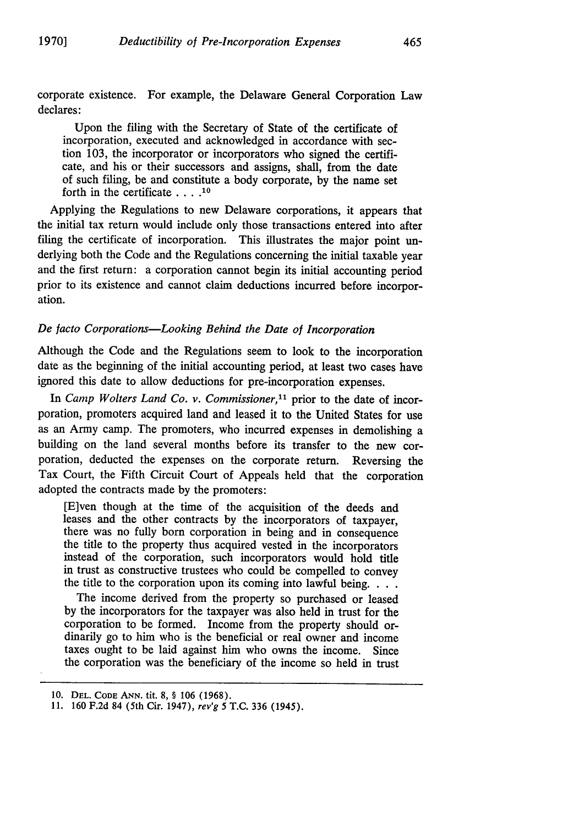corporate existence. For example, the Delaware General Corporation Law declares:

Upon the filing with the Secretary of State of the certificate of incorporation, executed and acknowledged in accordance with section 103, the incorporator or incorporators who signed the certificate, and his or their successors and assigns, shall, from the date of such filing, be and constitute a body corporate, by the name set forth in the certificate **.... 10**

Applying the Regulations to new Delaware corporations, it appears that the initial tax return would include only those transactions entered into after filing the certificate of incorporation. This illustrates the major point underlying both the Code and the Regulations concerning the initial taxable year and the first return: a corporation cannot begin its initial accounting period prior to its existence and cannot claim deductions incurred before incorporation.

# *De facto Corporations-Looking Behind the Date of Incorporation*

Although the Code and the Regulations seem to look to the incorporation date as the beginning of the initial accounting period, at least two cases have ignored this date to allow deductions for pre-incorporation expenses.

In *Camp Wolters Land Co. v. Commissioner*,<sup>11</sup> prior to the date of incorporation, promoters acquired land and leased it to the United States for use as an Army camp. The promoters, who incurred expenses in demolishing a building on the land several months before its transfer to the new corporation, deducted the expenses on the corporate return. Reversing the Tax Court, the Fifth Circuit Court of Appeals held that the corporation adopted the contracts made by the promoters:

[E]ven though at the time of the acquisition of the deeds and leases and the other contracts by the incorporators of taxpayer, there was no fully born corporation in being and in consequence the title to the property thus acquired vested in the incorporators instead of the corporation, such incorporators would hold title in trust as constructive trustees who could be compelled to convey the title to the corporation upon its coming into lawful being. **...**

The income derived from the property so purchased or leased by the incorporators for the taxpayer was also held in trust for the corporation to be formed. Income from the property should ordinarily go to him who is the beneficial or real owner and income taxes ought to be laid against him who owns the income. Since the corporation was the beneficiary of the income so held in trust

<sup>10.</sup> **DEL. CODE ANN. tit. 8,** § 106 (1968).

**<sup>11.</sup>** 160 **F.2d** 84 (5th Cir. 1947), rev'g 5 **T.C. 336** (1945).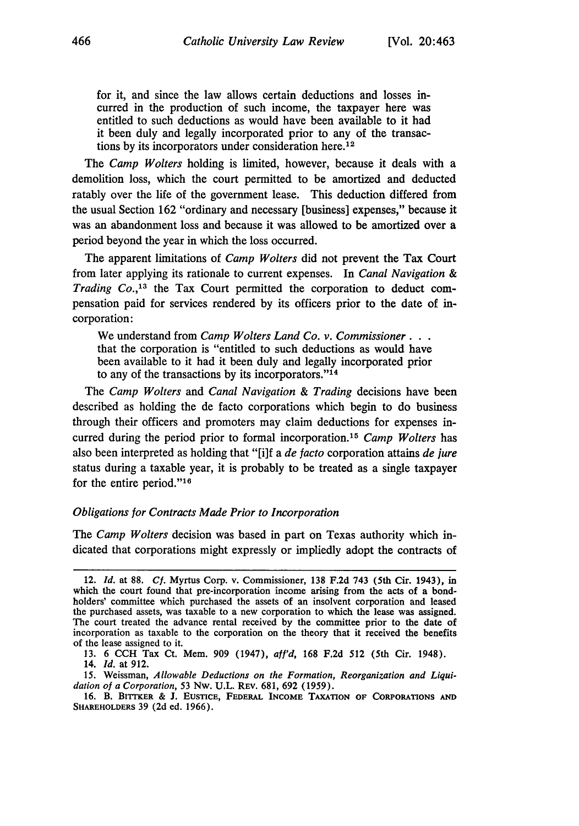for it, and since the law allows certain deductions and losses incurred in the production of such income, the taxpayer here was entitled to such deductions as would have been available to it had it been duly and legally incorporated prior to any of the transactions by its incorporators under consideration here.12

The *Camp Wolters* holding is limited, however, because it deals with a demolition loss, which the court permitted to be amortized and deducted ratably over the life of the government lease. This deduction differed from the usual Section 162 "ordinary and necessary [business] expenses," because it was an abandonment loss and because it was allowed to be amortized over a period beyond the year in which the loss occurred.

The apparent limitations of *Camp Wolters* did not prevent the Tax Court from later applying its rationale to current expenses. In *Canal Navigation & Trading Co.*,<sup>13</sup> the Tax Court permitted the corporation to deduct compensation paid for services rendered by its officers prior to the date of incorporation:

We understand from *Camp Wolters Land Co. v. Commissioner...* that the corporation is "entitled to such deductions as would have been available to it had it been duly and legally incorporated prior to any of the transactions by its incorporators."<sup>14</sup>

The *Camp Wolters* and *Canal Navigation & Trading* decisions have been described as holding the de facto corporations which begin to do business through their officers and promoters may claim deductions for expenses incurred during the period prior to formal incorporation. <sup>15</sup>*Camp Wolters* has also been interpreted as holding that "[i]f a *de facto* corporation attains *de jure* status during a taxable year, it is probably to be treated as a single taxpayer for the entire period." $16$ 

#### *Obligations for Contracts Made Prior to Incorporation*

The *Camp Wolters* decision was based in part on Texas authority which indicated that corporations might expressly or impliedly adopt the contracts of

15. Weissman, *Allowable Deductions on the Formation, Reorganization and Liquidation of a Corporation,* 53 Nw. U.L. REv. 681, 692 (1959).

**16.** B. **BI"IER** & **J.** EusTicE, **FEDERAL INCOME TAXATION OF CORPORATIONS AND SHAREHOLDERS** 39 **(2d** ed. 1966).

<sup>12.</sup> *Id.* at 88. *Cf.* Myrtus Corp. v. Commissioner, 138 F.2d 743 (5th Cir. 1943), in which the court found that pre-incorporation income arising from the acts of a bondholders' committee which purchased the assets of an insolvent corporation and leased the purchased assets, was taxable to a new corporation to which the lease was assigned. The court treated the advance rental received by the committee prior to the date of incorporation as taxable to the corporation on the theory that it received the benefits of the lease assigned to it.

<sup>13. 6</sup> CCH Tax Ct. Mem. 909 (1947), *aff'd,* 168 F.2d 512 (5th Cir. 1948). 14. *Id.* at 912.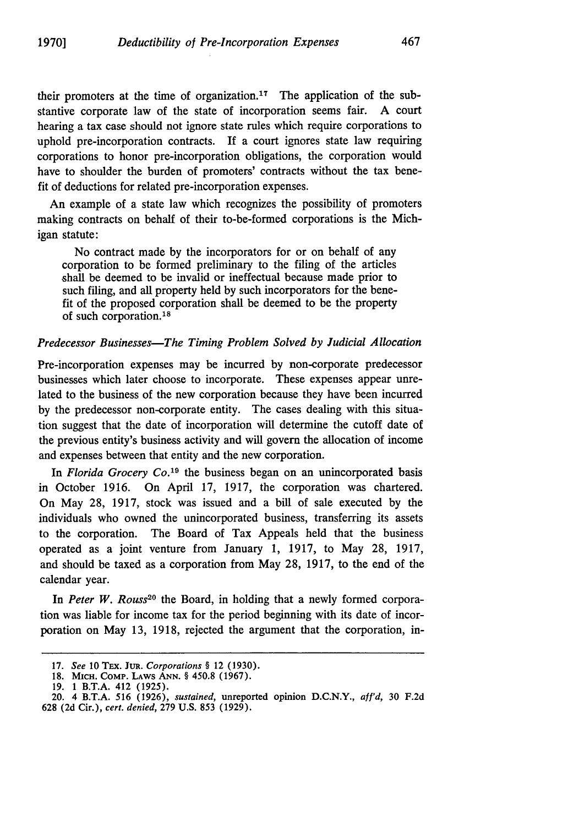their promoters at the time of organization.<sup>17</sup> The application of the substantive corporate law of the state of incorporation seems fair. A court hearing a tax case should not ignore state rules which require corporations to uphold pre-incorporation contracts. If a court ignores state law requiring corporations to honor pre-incorporation obligations, the corporation would have to shoulder the burden of promoters' contracts without the tax benefit of deductions for related pre-incorporation expenses.

An example of a state law which recognizes the possibility of promoters making contracts on behalf of their to-be-formed corporations is the Michigan statute:

No contract made by the incorporators for or on behalf of any corporation to be formed preliminary to the filing of the articles shall be deemed to be invalid or ineffectual because made prior to such filing, and all property held by such incorporators for the benefit of the proposed corporation shall be deemed to be the property of such corporation.<sup>18</sup>

## *Predecessor Businesses-The Timing Problem Solved by Judicial Allocation*

Pre-incorporation expenses may be incurred by non-corporate predecessor businesses which later choose to incorporate. These expenses appear unrelated to the business of the new corporation because they have been incurred by the predecessor non-corporate entity. The cases dealing with this situation suggest that the date of incorporation will determine the cutoff date of the previous entity's business activity and will govern the allocation of income and expenses between that entity and the new corporation.

In *Florida Grocery Co.19* the business began on an unincorporated basis in October 1916. On April 17, 1917, the corporation was chartered. On May 28, 1917, stock was issued and a bill of sale executed by the individuals who owned the unincorporated business, transferring its assets to the corporation. The Board of Tax Appeals held that the business operated as a joint venture from January 1, 1917, to May 28, 1917, and should be taxed as a corporation from May 28, 1917, to the end of the calendar year.

In *Peter W. Rouss<sup>20</sup>* the Board, in holding that a newly formed corporation was liable for income tax for the period beginning with its date of incorporation on May 13, 1918, rejected the argument that the corporation, in-

**<sup>17.</sup>** *See* 10 TEX. **JuR.** *Corporations §* 12 (1930).

<sup>18.</sup> **MICH.** CoMP. LAWS **ANN.** *§* 450.8 (1967).

<sup>19. 1</sup> B.T.A. 412 (1925).

<sup>20. 4</sup> B.T.A. 516 (1926), *sustained,* unreported opinion D.C.N.Y., *a! 'd,* 30 F.2d 628 (2d Cir.), *cert. denied,* 279 U.S. 853 (1929).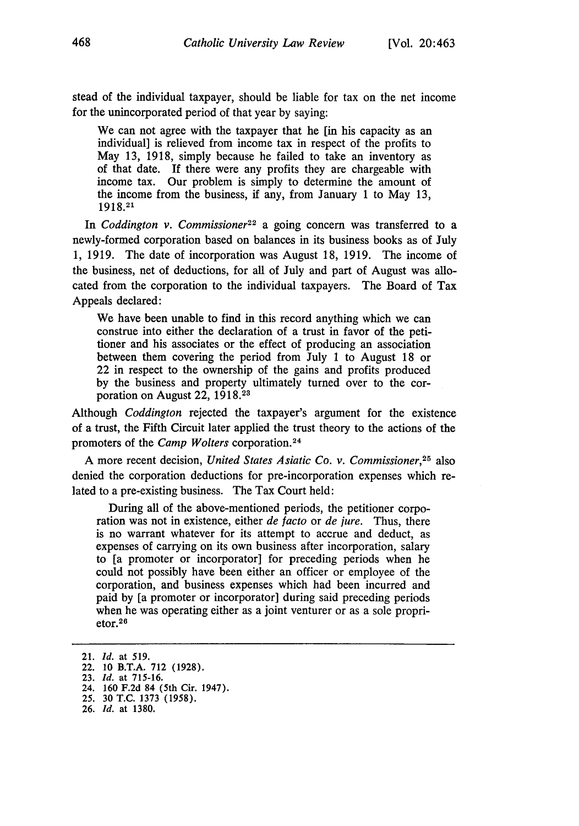stead of the individual taxpayer, should be liable for tax on the net income for the unincorporated period of that year by saying:

We can not agree with the taxpayer that he [in his capacity as an individual] is relieved from income tax in respect of the profits to May 13, 1918, simply because he failed to take an inventory as of that date. **If** there were any profits they are chargeable with income tax. Our problem is simply to determine the amount of the income from the business, if any, from January 1 to May 13, **1918.21**

In *Coddington v. Commissioner*<sup>22</sup> a going concern was transferred to a newly-formed corporation based on balances in its business books as of July 1, 1919. The date of incorporation was August 18, 1919. The income of the business, net of deductions, for all of July and part of August was allocated from the corporation to the individual taxpayers. The Board of Tax Appeals declared:

We have been unable to find in this record anything which we can construe into either the declaration of a trust in favor of the petitioner and his associates or the effect of producing an association between them covering the period from July 1 to August 18 or 22 in respect to the ownership of the gains and profits produced by the business and property ultimately turned over to the corporation on August 22, 1918.<sup>23</sup>

Although *Coddington* rejected the taxpayer's argument for the existence of a trust, the Fifth Circuit later applied the trust theory to the actions of the promoters of the *Camp Wolters* corporation.<sup>24</sup>

A more recent decision, *United States Asiatic Co. v. Commissioner,25* also denied the corporation deductions for pre-incorporation expenses which related to a pre-existing business. The Tax Court held:

During all of the above-mentioned periods, the petitioner corporation was not in existence, either *de facto* or *de jure.* Thus, there is no warrant whatever for its attempt to accrue and deduct, as expenses of carrying on its own business after incorporation, salary to [a promoter or incorporator] for preceding periods when he could not possibly have been either an officer or employee of the corporation, and business expenses which had been incurred and paid by [a promoter or incorporator] during said preceding periods when he was operating either as a joint venturer or as a sole propri $etor.<sup>26</sup>$ 

**<sup>21.</sup>** *Id.* at **519.**

<sup>22.</sup> **10** B.T.A. **712 (1928).**

**<sup>23.</sup>** *Id.* at **715-16.**

<sup>24.</sup> **160 F.2d** 84 (5th Cir. 1947).

**<sup>25. 30</sup> T.C. 1373 (1958).**

**<sup>26.</sup>** *Id.* at **1380,**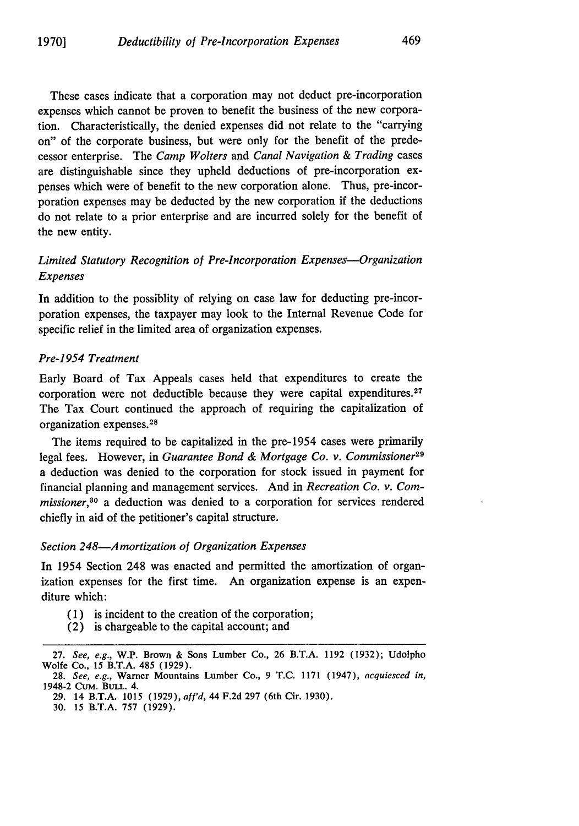These cases indicate that a corporation may not deduct pre-incorporation expenses which cannot be proven to benefit the business of the new corporation. Characteristically, the denied expenses did not relate to the "carrying on" of the corporate business, but were only for the benefit of the predecessor enterprise. The *Camp Wolters* and *Canal Navigation & Trading* cases are distinguishable since they upheld deductions of pre-incorporation expenses which were of benefit to the new corporation alone. Thus, pre-incorporation expenses may be deducted by the new corporation if the deductions do not relate to a prior enterprise and are incurred solely for the benefit of the new entity.

# *Limited Statutory Recognition of Pre-Incorporation Expenses-Organization Expenses*

In addition to the possiblity of relying on case law for deducting pre-incorporation expenses, the taxpayer may look to the Internal Revenue Code for specific relief in the limited area of organization expenses.

## *Pre-1954 Treatment*

Early Board of Tax Appeals cases held that expenditures to create the corporation were not deductible because they were capital expenditures.<sup>27</sup> The Tax Court continued the approach of requiring the capitalization of organization expenses. 28

The items required to be capitalized in the pre-1954 cases were primarily legal fees. However, in *Guarantee Bond & Mortgage Co. v. Commissioner29* a deduction was denied to the corporation for stock issued in payment for financial planning and management services. And in *Recreation Co. v. Commissioner,30* a deduction was denied to a corporation for services rendered chiefly in aid of the petitioner's capital structure.

## *Section 248-Amortization of Organization Expenses*

In 1954 Section 248 was enacted and permitted the amortization of organization expenses for the first time. An organization expense is an expenditure which:

- (1) is incident to the creation of the corporation;
- (2) is chargeable to the capital account; and

<sup>27.</sup> *See, e.g.,* W.P. Brown & Sons Lumber Co., 26 B.T.A. 1192 (1932); Udolpho Wolfe Co., 15 B.T.A. 485 (1929).

<sup>28.</sup> *See, e.g.,* Warner Mountains Lumber Co., 9 T.C. 1171 (1947), *acquiesced in,* 1948-2 CuM. BuLL. 4.

<sup>29. 14</sup> B.T.A. 1015 (1929), *aff'd,* 44 F.2d 297 (6th Cir. 1930).

<sup>30. 15</sup> B.T.A. 757 (1929).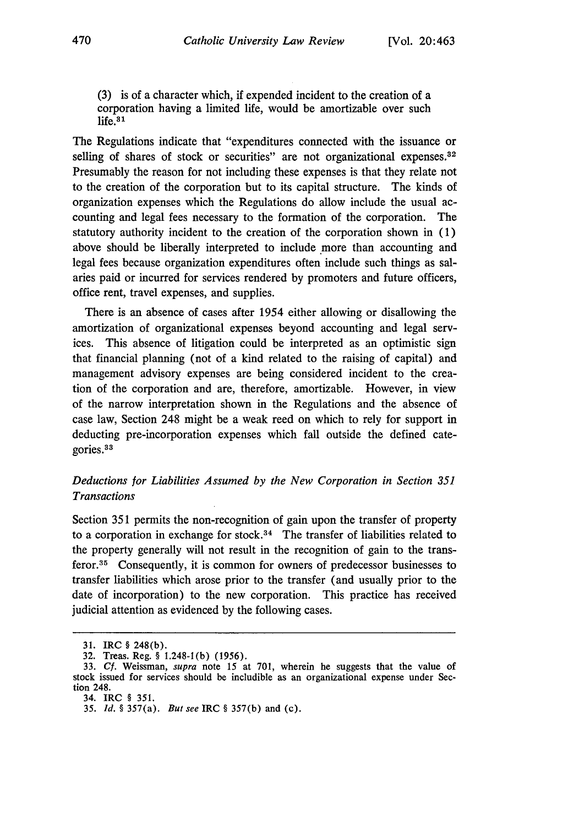(3) is of a character which, if expended incident to the creation of a corporation having a limited life, would be amortizable over such life.<sup>31</sup>

The Regulations indicate that "expenditures connected with the issuance or selling of shares of stock or securities" are not organizational expenses.<sup>32</sup> Presumably the reason for not including these expenses is that they relate not to the creation of the corporation but to its capital structure. The kinds of organization expenses which the Regulations do allow include the usual accounting and legal fees necessary to the formation of the corporation. The statutory authority incident to the creation of the corporation shown in (1) above should be liberally interpreted to include more than accounting and legal fees because organization expenditures often include such things as salaries paid or incurred for services rendered by promoters and future officers, office rent, travel expenses, and supplies.

There is an absence of cases after 1954 either allowing or disallowing the amortization of organizational expenses beyond accounting and legal services. This absence of litigation could be interpreted as an optimistic sign that financial planning (not of a kind related to the raising of capital) and management advisory expenses are being considered incident to the creation of the corporation and are, therefore, amortizable. However, in view of the narrow interpretation shown in the Regulations and the absence of case law, Section 248 might be a weak reed on which to rely for support in deducting pre-incorporation expenses which fall outside the defined categories <sup>83</sup>

# *Deductions for Liabilities Assumed by the New Corporation in Section 351 Transactions*

Section 351 permits the non-recognition of gain upon the transfer of property to a corporation in exchange for stock. $34$  The transfer of liabilities related to the property generally will not result in the recognition of gain to the transferor.35 Consequently, it is common for owners of predecessor businesses to transfer liabilities which arose prior to the transfer (and usually prior to the date of incorporation) to the new corporation. This practice has received judicial attention as evidenced by the following cases.

**<sup>31.</sup>** IRC § 248(b).

<sup>32.</sup> Treas. Reg. § 1.248-1(b) **(1956).**

<sup>33.</sup> **Cf.** Weissman, *supra* note 15 at 701, wherein he suggests that the value of stock issued for services should be includible as an organizational expense under Section 248.

<sup>34.</sup> IRC § 351.

*<sup>35.</sup> Id.* § 357(a). *But see IRC* § 357(b) and (c).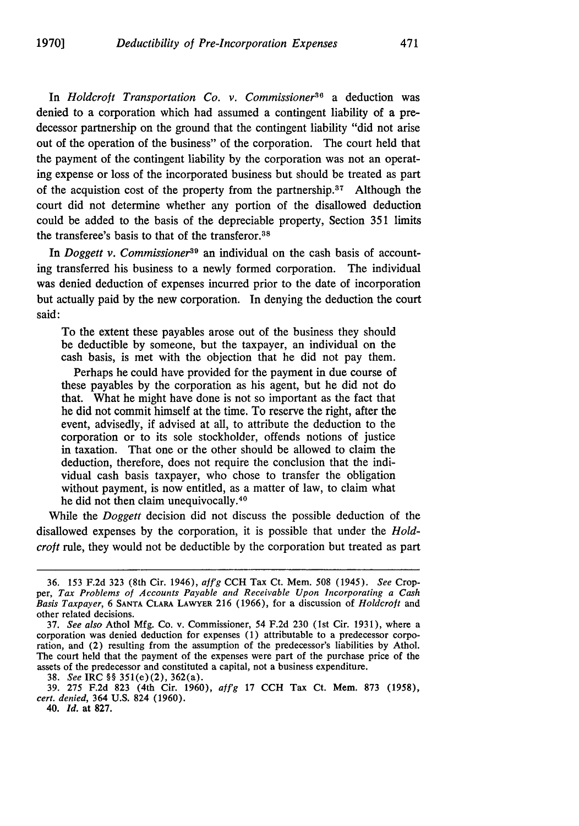In *Holdcroft Transportation Co. v. Commissioner*<sup>36</sup> a deduction was denied to a corporation which had assumed a contingent liability of a predecessor partnership on the ground that the contingent liability "did not arise out of the operation of the business" of the corporation. The court held that the payment of the contingent liability by the corporation was not an operating expense or loss of the incorporated business but should be treated as part of the acquistion cost of the property from the partnership.37 Although the court did not determine whether any portion of the disallowed deduction could be added to the basis of the depreciable property, Section **351** limits the transferee's basis to that of the transferor.<sup>38</sup>

In *Doggett v. Commissioner*<sup>39</sup> an individual on the cash basis of accounting transferred his business to a newly formed corporation. The individual was denied deduction of expenses incurred prior to the date of incorporation but actually paid by the new corporation. In denying the deduction the court said:

To the extent these payables arose out of the business they should be deductible by someone, but the taxpayer, an individual on the cash basis, is met with the objection that he did not pay them.

Perhaps he could have provided for the payment in due course of these payables by the corporation as his agent, but he did not do that. What he might have done is not so important as the fact that he did not commit himself at the time. To reserve the right, after the event, advisedly, if advised at all, to attribute the deduction to the corporation or to its sole stockholder, offends notions of justice in taxation. That one or the other should be allowed to claim the deduction, therefore, does not require the conclusion that the individual cash basis taxpayer, who chose to transfer the obligation without payment, is now entitled, as a matter of law, to claim what he did not then claim unequivocally. <sup>40</sup>

While the *Doggett* decision did not discuss the possible deduction of the disallowed expenses by the corporation, it is possible that under the *Holdcroft* rule, they would not be deductible by the corporation but treated as part

<sup>36. 153</sup> F.2d 323 (8th Cir. 1946), *ajfg* **CCH** Tax Ct. Mem. 508 (1945). *See* Cropper, *Tax Problems of Accounts Payable and Receivable Upon Incorporating a Cash Basis Taxpayer,* 6 **SANTA** CLARA **LAWYER** 216 (1966), for a discussion of *Holdcrojt* and other related decisions.<br>37. See also Athol Mfg. Co. v. Commissioner, 54 F.2d 230 (1st Cir. 1931), where a

corporation was denied deduction for expenses (1) attributable to a predecessor corporation, and (2) resulting from the assumption of the predecessor's liabilities by Athol. The court held that the payment of the expenses were part of the purchase price of the assets of the predecessor and constituted a capital, not a business expenditure.

<sup>38.</sup> *See* IRC *§§* 351(e)(2), 362(a).

<sup>39. 275</sup> F.2d 823 (4th Cir. **1960),** afj'g **17 CCH** Tax Ct. Mem. **873 (1958),** *cert. denied,* 364 **U.S.** 824 **(1960).**

<sup>40.</sup> *Id.* at **827.**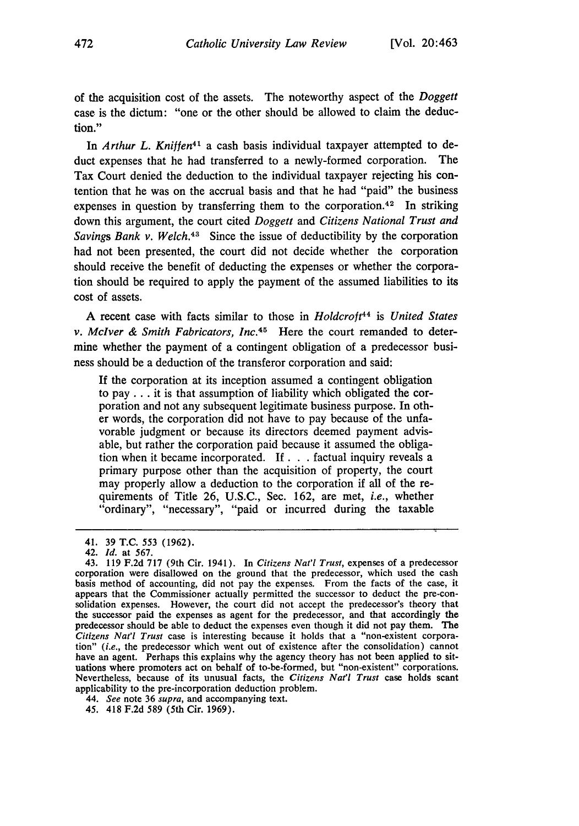of the acquisition cost of the assets. The noteworthy aspect of the *Doggett* case is the dictum: "one or the other should be allowed to claim the deduction."

In *Arthur L. Kniffen<sup>41</sup>* a cash basis individual taxpayer attempted to deduct expenses that he had transferred to a newly-formed corporation. The Tax Court denied the deduction to the individual taxpayer rejecting his contention that he was on the accrual basis and that he had "paid" the business expenses in question by transferring them to the corporation. 42 In striking down this argument, the court cited *Doggett* and *Citizens National Trust and Savings Bank v. Welch*<sup>43</sup> Since the issue of deductibility by the corporation had not been presented, the court did not decide whether the corporation should receive the benefit of deducting the expenses or whether the corporation should be required to apply the payment of the assumed liabilities to its cost of assets.

A recent case with facts similar to those in *Holdcroft44* is *United States v. McIver & Smith Fabricators, Inc.45* Here the court remanded to determine whether the payment of a contingent obligation of a predecessor business should be a deduction of the transferor corporation and said:

If the corporation at its inception assumed a contingent obligation to pay **...** it is that assumption of liability which obligated the corporation and not any subsequent legitimate business purpose. In other words, the corporation did not have to pay because of the unfavorable judgment or because its directors deemed payment advisable, but rather the corporation paid because it assumed the obligation when it became incorporated. **If. .** .factual inquiry reveals a primary purpose other than the acquisition of property, the court may properly allow a deduction to the corporation if all of the requirements of Title 26, U.S.C., Sec. 162, are met, *i.e.,* whether "ordinary", "necessary", "paid or incurred during the taxable

<sup>41. 39</sup> **T.C.** 553 (1962).

<sup>42.</sup> *Id.* at 567.

<sup>43. 119</sup> F.2d 717 (9th Cir. 1941). In *Citizens Nat'l Trust,* expenses of a predecessor corporation were disallowed on the ground that the predecessor, which used the cash basis method of accounting, did not pay the expenses. From the facts of the case, it appears that the Commissioner actually permitted the successor to deduct the pre-consolidation expenses. However, the court did not accept the predecessor's theory that the successor paid the expenses as agent for the predecessor, and that accordingly the predecessor should be able to deduct the expenses even though it did not pay them. The *Citizens Nat'l Trust* case is interesting because it holds that a "non-existent corporation" *(i.e.,* the predecessor which went out of existence after the consolidation) cannot have an agent. Perhaps this explains why the agency theory has not been applied to situations where promoters act on behalf of to-be-formed, but "non-existent" corporations. Nevertheless, because of its unusual facts, the *Citizens* Nat'l *Trust* case holds scant applicability to the pre-incorporation deduction problem.

<sup>44.</sup> *See* note 36 *supra,* and accompanying text.

<sup>45.</sup> 418 F.2d 589 (5th Cir. 1969).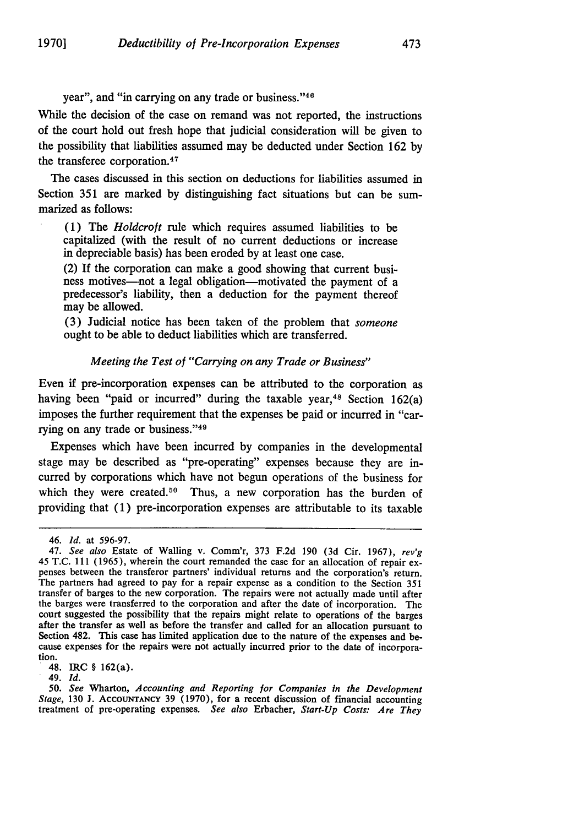year", and "in carrying on any trade or business."<sup>46</sup>

While the decision of the case on remand was not reported, the instructions of the court hold out fresh hope that judicial consideration will be given to the possibility that liabilities assumed may be deducted under Section **162 by** the transferee corporation. <sup>47</sup>

The cases discussed in this section on deductions for liabilities assumed in Section **351** are marked **by** distinguishing fact situations but can be summarized as follows:

**(1)** The *Holdcroft* rule which requires assumed liabilities to be capitalized (with the result of no current deductions or increase in depreciable basis) has been eroded **by** at least one case.

(2) **If** the corporation can make a good showing that current business motives—not a legal obligation—motivated the payment of a predecessor's liability, then a deduction for the payment thereof may be allowed.

**(3)** Judicial notice has been taken of the problem that *someone* ought to be able to deduct liabilities which are transferred.

### *Meeting the Test of "Carrying on any Trade or Business"*

Even if pre-incorporation expenses can be attributed to the corporation as having been "paid or incurred" during the taxable year, $48$  Section 162(a) imposes the further requirement that the expenses be paid or incurred in "carrying on any trade or business."<sup>49</sup>

Expenses which have been incurred **by** companies in the developmental stage may be described as "pre-operating" expenses because they are incurred **by** corporations which have not begun operations of the business for which they were created.<sup>50</sup> Thus, a new corporation has the burden of providing that **(1)** pre-incorporation expenses are attributable to its taxable

48. **IRC §** 162(a).

49. *Id.*

**50.** *See* Wharton, *Accounting and Reporting for Companies in the Development Stage,* **130 J. ACCOUNTANCY 39 (1970),** for a recent discussion of financial accounting treatment of pre-operating expenses. *See also* Erbacher, *Start-Up Costs: Are They*

<sup>46.</sup> *Id.* at 596-97.<br>47. *See also* Estate of Walling v. Comm'r, 373 F.2d 190 (3d Cir. 1967), rev'g 45 T.C. 111 (1965), wherein the court remanded the case for an allocation of repair expenses between the transferor partners' individual returns and the corporation's return. The partners had agreed to pay for a repair expense as a condition to the Section **351** transfer of barges to the new corporation. The repairs were not actually made until after the barges were transferred to the corporation and after the date of incorporation. The court suggested the possibility that the repairs might relate to operations of the barges after the transfer as well as before the transfer and called for an allocation pursuant to Section 482. This case has limited application due to the nature of the expenses and be-<br>cause expenses for the repairs were not actually incurred prior to the date of incorporation.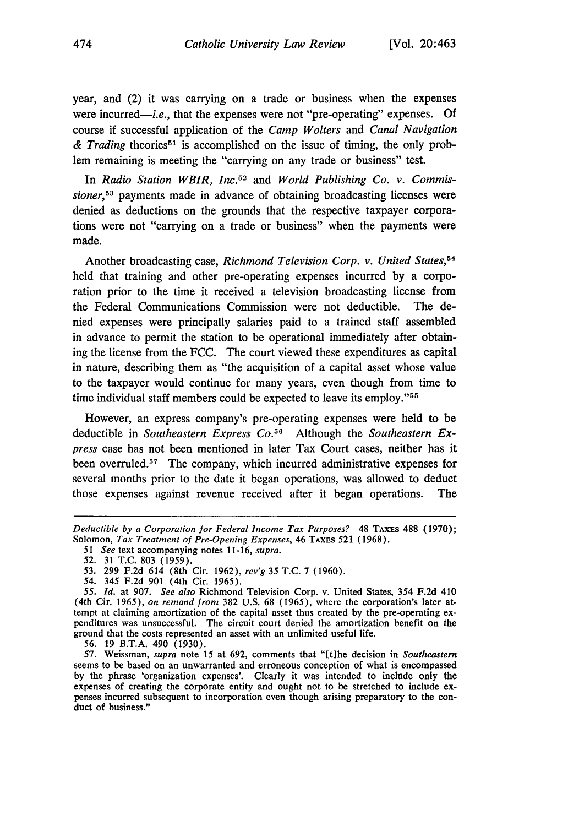year, and (2) it was carrying on a trade or business when the expenses were incurred—*i.e.*, that the expenses were not "pre-operating" expenses. Of course if successful application of the *Camp Wolters* and *Canal Navigation* & Trading theories<sup>51</sup> is accomplished on the issue of timing, the only problem remaining is meeting the "carrying on any trade or business" test.

In *Radio Station WBIR, Inc.5 <sup>2</sup>*and *World Publishing Co. v. Commissioner*,<sup>53</sup> payments made in advance of obtaining broadcasting licenses were denied as deductions on the grounds that the respective taxpayer corporations were not "carrying on a trade or business" when the payments were made.

Another broadcasting case, *Richmond Television Corp. v. United States,<sup>54</sup>* held that training and other pre-operating expenses incurred by a corporation prior to the time it received a television broadcasting license from the Federal Communications Commission were not deductible. The denied expenses were principally salaries paid to a trained staff assembled in advance to permit the station to be operational immediately after obtaining the license from the FCC. The court viewed these expenditures as capital in nature, describing them as "the acquisition of a capital asset whose value to the taxpayer would continue for many years, even though from time to time individual staff members could be expected to leave its employ."<sup>55</sup>

However, an express company's pre-operating expenses were held to be deductible in *Southeastern Express Co.56* Although the *Southeastern Express* case has not been mentioned in later Tax Court cases, neither has it been overruled.<sup>57</sup> The company, which incurred administrative expenses for several months prior to the date it began operations, was allowed to deduct those expenses against revenue received after it began operations. The

Deductible by *a Corporation for Federal Income Tax Purposes?* 48 TAXES 488 **(1970);** Solomon, *Tax Treatment of Pre-Opening Expenses,* 46 TAXES 521 (1968).

*<sup>51</sup> See* text accompanying notes 11-16, *supra.*

<sup>52. 31</sup> T.C. 803 (1959).

<sup>53. 299</sup> F.2d 614 (8th Cir. 1962), *rev'g* 35 T.C. 7 (1960).

*<sup>54.</sup>* 345 F.2d 901 (4th Cir. 1965).

*<sup>55.</sup> Id.* at 907. *See also* Richmond Television Corp. v. United States, 354 F.2d 410 (4th Cir. 1965), *on remand from* 382 U.S. 68 (1965), where the corporation's later attempt at claiming amortization of the capital asset thus created by the pre-operating ex- penditures was unsuccessful. The circuit court denied the amortization benefit on the ground that the costs represented an asset with an unlimited useful life.

<sup>56. 19</sup> B.T.A. 490 (1930).

**<sup>57.</sup>** Weissman, *supra* note 15 at 692, comments that "[tihe decision in *Southeastern* seems to be based on an unwarranted and erroneous conception of what is encompassed by the phrase 'organization expenses'. Clearly it was intended to include only the expenses of creating the corporate entity and ought not to be stretched to include ex- penses incurred subsequent to incorporation even though arising preparatory to the conduct of business."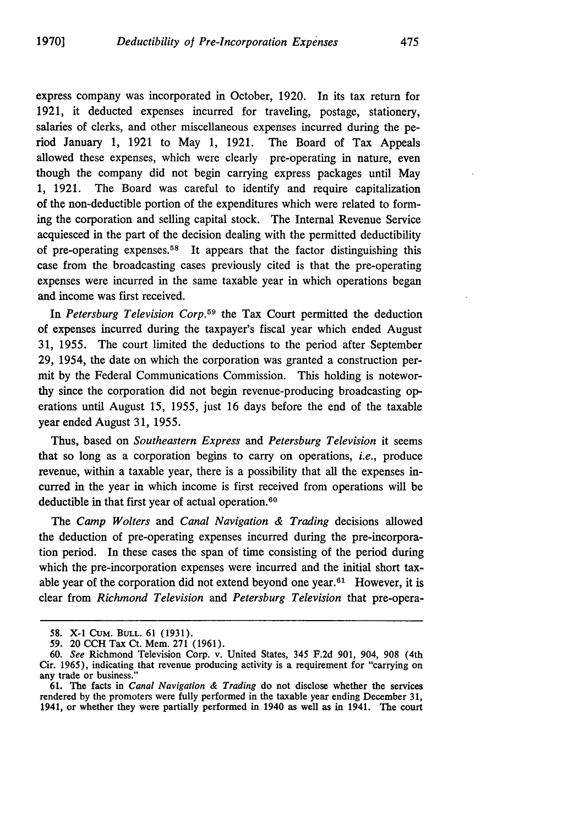express company was incorporated in October, 1920. In its tax return for 1921, it deducted expenses incurred for traveling, postage, stationery, salaries of clerks, and other miscellaneous expenses incurred during the period January 1, 1921 to May 1, 1921. The Board of Tax Appeals allowed these expenses, which were clearly pre-operating in nature, even though the company did not begin carrying express packages until May 1, 1921. The Board was careful to identify and require capitalization of the non-deductible portion of the expenditures which were related to forming the corporation and selling capital stock. The Internal Revenue Service acquiesced in the part of the decision dealing with the permitted deductibility of pre-operating expenses.58 It appears that the factor distinguishing this case from the broadcasting cases previously cited is that the pre-operating expenses were incurred in the same taxable year in which operations began and income was first received.

In *Petersburg Television Corp.*<sup>59</sup> the Tax Court permitted the deduction of expenses incurred during the taxpayer's fiscal year which ended August 31, 1955. The court limited the deductions to the period after September 29, 1954, the date on which the corporation was granted a construction permit by the Federal Communications Commission. This holding is noteworthy since the corporation did not begin revenue-producing broadcasting operations until August 15, 1955, just 16 days before the end of the taxable year ended August 31, 1955.

Thus, based on *Southeastern Express* and *Petersburg Television* it seems that so long as a corporation begins to carry on operations, *i.e.,* produce revenue, within a taxable year, there is a possibility that all the expenses incurred in the year in which income is first received from operations will be deductible in that first year of actual operation.<sup>60</sup>

The *Camp Wolters* and *Canal Navigation & Trading* decisions allowed the deduction of pre-operating expenses incurred during the pre-incorporation period. In these cases the span of time consisting of the period during which the pre-incorporation expenses were incurred and the initial short taxable year of the corporation did not extend beyond one year. $61$  However, it is clear from *Richmond Television* and *Petersburg Television* that pre-opera-

<sup>58.</sup> X-1 CuM. BULL. 61 (1931).

**<sup>59.</sup>** 20 **CCH** Tax Ct. Mem. 271 (1961).

**<sup>60.</sup>** *See* Richmond Television Corp. v. United States, 345 **F.2d 901,** 904, **908** (4th Cir. 1965), indicating that revenue producing activity is a requirement for "carrying on any trade or business."

**<sup>61.</sup>** The facts in *Canal Navigation & Trading* do not disclose whether the services rendered by the promoters were fully performed in the taxable year ending December 31, 1941, or whether they were partially performed in 1940 as well as in 1941. The court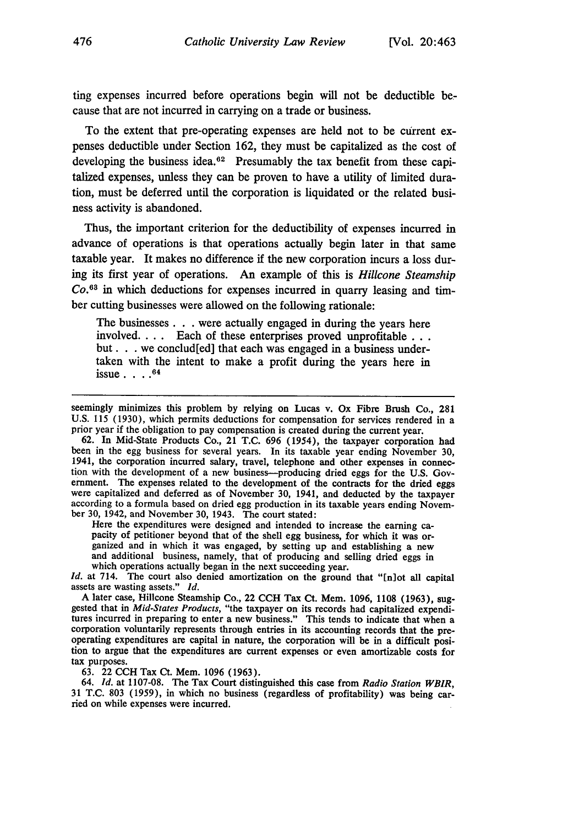ting expenses incurred before operations begin will not be deductible because that are not incurred in carrying on a trade or business.

To the extent that pre-operating expenses are held not to be current expenses deductible under Section 162, they must be capitalized as the cost of developing the business idea.<sup>62</sup> Presumably the tax benefit from these capitalized expenses, unless they can be proven to have a utility of limited duration, must be deferred until the corporation is liquidated or the related business activity is abandoned.

Thus, the important criterion for the deductibility of expenses incurred in advance of operations is that operations actually begin later in that same taxable year. It makes no difference if the new corporation incurs a loss during its first year of operations. An example of this is *Hillcone Steamship Co.63* in which deductions for expenses incurred in quarry leasing and timber cutting businesses were allowed on the following rationale:

The businesses. **. .** were actually engaged in during the years here involved.... Each of these enterprises proved unprofitable... but. **. .** we conclud[ed] that each was engaged in a business undertaken with the intent to make a profit during the years here in issue **. <sup>64</sup>**

62. In Mid-State Products Co., 21 T.C. 696 (1954), the taxpayer corporation had been in the egg business for several years. In its taxable year ending November 30, 1941, the corporation incurred salary, travel, telephone and other expenses in connection with the development of a new business--producing dried eggs for the U.S. Government. The expenses related to the development of the contracts for the dried eggs<br>were capitalized and deferred as of November 30, 1941, and deducted by the taxpayer<br>according to a formula based on dried egg production ber 30, 1942, and November 30, 1943. The court stated:

Here the expenditures were designed and intended to increase the earning capacity of petitioner beyond that of the shell egg business, for which it was organized and in which it was engaged, by setting up and establishing

Id. at 714. The court also denied amortization on the ground that "[n]ot all capital assets are wasting assets." *Id.*

A later case, Hillcone Steamship Co., 22 **CCH** Tax Ct. Mem. 1096, 1108 (1963), sug- gested that in *Mid-States Products,* "the taxpayer on its records had capitalized expenditures incurred in preparing to enter a new business." This tends to indicate that when a corporation voluntarily represents through entries in its accounting records that the preoperating expenditures are capital in nature, the corporation will be in a difficult position to argue that the expenditures are current expenses or even amortizable costs for tax purposes.

**63.** 22 **CCH** Tax Ct. Mem. **1096 (1963).**

64. *Id.* at **1107-08.** The Tax Court distinguished this case from *Radio Station WBIR,* **31 T.C. 803 (1959),** in which no business (regardless of profitability) was being carried on while expenses were incurred.

seemingly minimizes this problem **by** relying on Lucas v. Ox Fibre Brush Co., **281** U.S. 115 (1930), which permits deductions for compensation for services rendered in a prior year if the obligation to pay compensation is created during the current year.